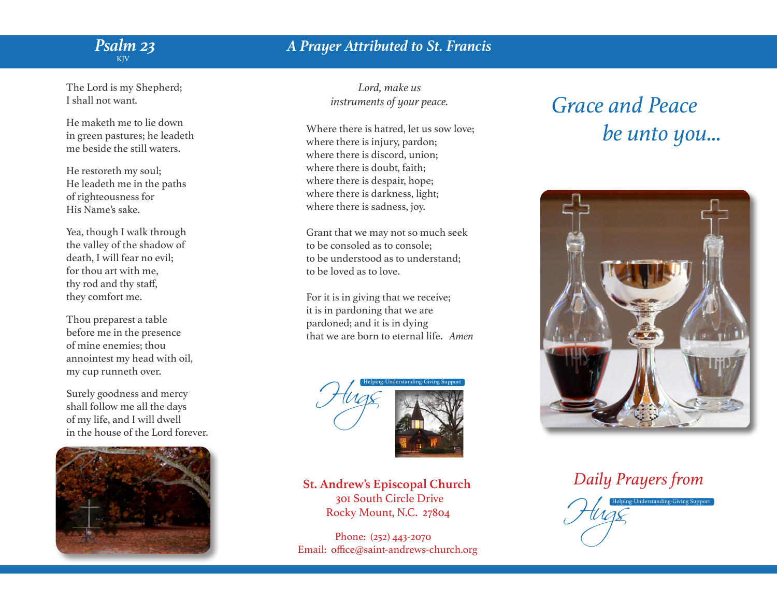## *Psalm 23 Psalm 23 KJV* KJV

## The Lord is my Shepherd; I shall not want.

He maketh me to lie down in green pastures; he leadeth me beside the still waters.

He restoreth my soul; He leadeth me in the paths of righteousness for His Name's sake.

Yea, though I walk through the valley of the shadow of death, I will fear no evil; for thou art with me, thy rod and thy staff, they comfort me.

Thou preparest a table before me in the presence of mine enemies; thou annointest my head with oil, my cup runneth over.

Surely goodness and mercy shall follow me all the days of my life, and I will dwell in the house of the Lord forever.



*A Prayer Attributed to St. Francis*

*Lord, make us instruments of your peace.*

Where there is hatred, let us sow love; where there is injury, pardon; where there is discord, union; where there is doubt, faith; where there is despair, hope; where there is darkness, light; where there is sadness, joy.

Grant that we may not so much seek to be consoled as to console; to be understood as to understand; to be loved as to love.

For it is in giving that we receive; it is in pardoning that we are pardoned; and it is in dying that we are born to eternal life. *Amen*



 **St. Andrew's Episcopal Church** 301 South Circle Drive Rocky Mount, N.C. 27804

 Phone: (252) 443-2070 Email: office@saint-andrews-church.org

## *Grace and Peace be unto you...*



 *Daily Prayers from*

Hugs Helping-Understanding-Giving Support